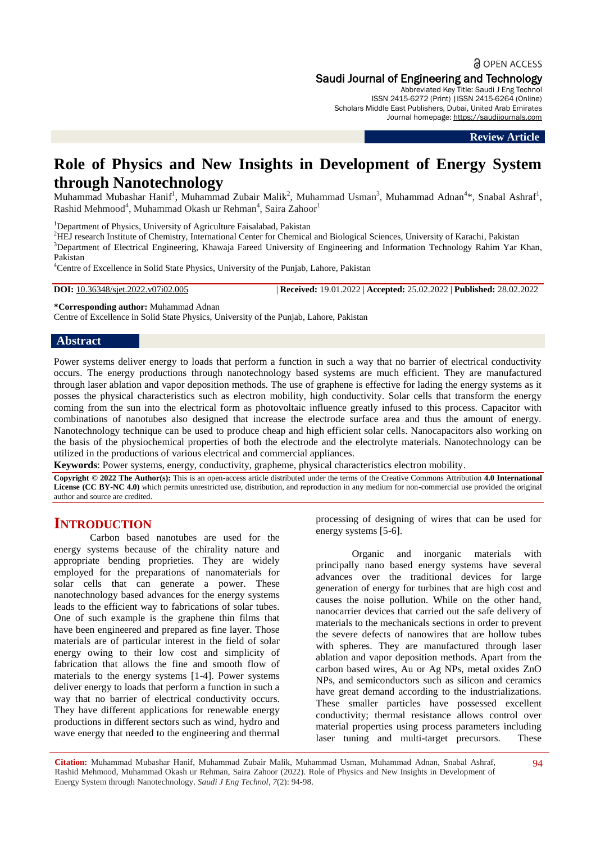## **a** OPEN ACCESS Saudi Journal of Engineering and Technology

Abbreviated Key Title: Saudi J Eng Technol ISSN 2415-6272 (Print) |ISSN 2415-6264 (Online) Scholars Middle East Publishers, Dubai, United Arab Emirates Journal homepage: [https://saudijournals.com](https://saudijournals.com/sjeat)

**Review Article**

# **Role of Physics and New Insights in Development of Energy System through Nanotechnology**

Muhammad Mubashar Hanif<sup>1</sup>, Muhammad Zubair Malik<sup>2</sup>, Muhammad Usman<sup>3</sup>, Muhammad Adnan<sup>4</sup>\*, Snabal Ashraf<sup>1</sup>, Rashid Mehmood<sup>4</sup>, Muhammad Okash ur Rehman<sup>4</sup>, Saira Zahoor<sup>1</sup>

<sup>1</sup>Department of Physics, University of Agriculture Faisalabad, Pakistan

<sup>2</sup>HEJ research Institute of Chemistry, International Center for Chemical and Biological Sciences, University of Karachi, Pakistan

<sup>3</sup>Department of Electrical Engineering, Khawaja Fareed University of Engineering and Information Technology Rahim Yar Khan, Pakistan

<sup>4</sup>Centre of Excellence in Solid State Physics, University of the Punjab, Lahore, Pakistan

**DOI:** 10.36348/sjet.2022.v07i02.005 | **Received:** 19.01.2022 | **Accepted:** 25.02.2022 | **Published:** 28.02.2022

**\*Corresponding author:** Muhammad Adnan

Centre of Excellence in Solid State Physics, University of the Punjab, Lahore, Pakistan

#### **Abstract**

Power systems deliver energy to loads that perform a function in such a way that no barrier of electrical conductivity occurs. The energy productions through nanotechnology based systems are much efficient. They are manufactured through laser ablation and vapor deposition methods. The use of graphene is effective for lading the energy systems as it posses the physical characteristics such as electron mobility, high conductivity. Solar cells that transform the energy coming from the sun into the electrical form as photovoltaic influence greatly infused to this process. Capacitor with combinations of nanotubes also designed that increase the electrode surface area and thus the amount of energy. Nanotechnology technique can be used to produce cheap and high efficient solar cells. Nanocapacitors also working on the basis of the physiochemical properties of both the electrode and the electrolyte materials. Nanotechnology can be utilized in the productions of various electrical and commercial appliances.

**Keywords**: Power systems, energy, conductivity, grapheme, physical characteristics electron mobility.

**Copyright © 2022 The Author(s):** This is an open-access article distributed under the terms of the Creative Commons Attribution **4.0 International License (CC BY-NC 4.0)** which permits unrestricted use, distribution, and reproduction in any medium for non-commercial use provided the original author and source are credited.

## **INTRODUCTION**

Carbon based nanotubes are used for the energy systems because of the chirality nature and appropriate bending proprieties. They are widely employed for the preparations of nanomaterials for solar cells that can generate a power. These nanotechnology based advances for the energy systems leads to the efficient way to fabrications of solar tubes. One of such example is the graphene thin films that have been engineered and prepared as fine layer. Those materials are of particular interest in the field of solar energy owing to their low cost and simplicity of fabrication that allows the fine and smooth flow of materials to the energy systems [1-4]. Power systems deliver energy to loads that perform a function in such a way that no barrier of electrical conductivity occurs. They have different applications for renewable energy productions in different sectors such as wind, hydro and wave energy that needed to the engineering and thermal

processing of designing of wires that can be used for energy systems [5-6].

Organic and inorganic materials with principally nano based energy systems have several advances over the traditional devices for large generation of energy for turbines that are high cost and causes the noise pollution. While on the other hand, nanocarrier devices that carried out the safe delivery of materials to the mechanicals sections in order to prevent the severe defects of nanowires that are hollow tubes with spheres. They are manufactured through laser ablation and vapor deposition methods. Apart from the carbon based wires, Au or Ag NPs, metal oxides ZnO NPs, and semiconductors such as silicon and ceramics have great demand according to the industrializations. These smaller particles have possessed excellent conductivity; thermal resistance allows control over material properties using process parameters including laser tuning and multi-target precursors. These

**Citation:** Muhammad Mubashar Hanif, Muhammad Zubair Malik, Muhammad Usman, Muhammad Adnan, Snabal Ashraf, Rashid Mehmood, Muhammad Okash ur Rehman, Saira Zahoor (2022). Role of Physics and New Insights in Development of Energy System through Nanotechnology. *Saudi J Eng Technol, 7*(2): 94-98.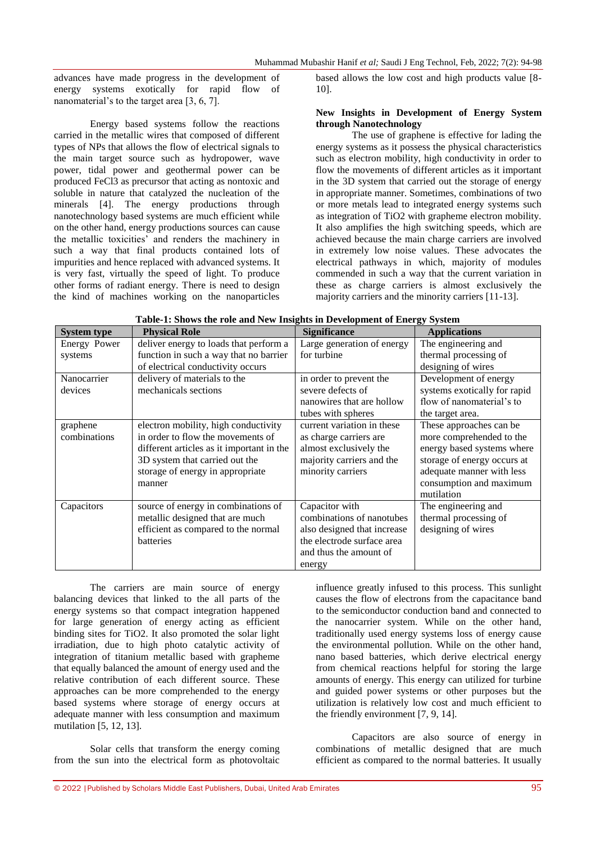advances have made progress in the development of energy systems exotically for rapid flow of nanomaterial's to the target area [3, 6, 7].

Energy based systems follow the reactions carried in the metallic wires that composed of different types of NPs that allows the flow of electrical signals to the main target source such as hydropower, wave power, tidal power and geothermal power can be produced FeCl3 as precursor that acting as nontoxic and soluble in nature that catalyzed the nucleation of the minerals [4]. The energy productions through nanotechnology based systems are much efficient while on the other hand, energy productions sources can cause the metallic toxicities' and renders the machinery in such a way that final products contained lots of impurities and hence replaced with advanced systems. It is very fast, virtually the speed of light. To produce other forms of radiant energy. There is need to design the kind of machines working on the nanoparticles

based allows the low cost and high products value [8- 10].

### **New Insights in Development of Energy System through Nanotechnology**

The use of graphene is effective for lading the energy systems as it possess the physical characteristics such as electron mobility, high conductivity in order to flow the movements of different articles as it important in the 3D system that carried out the storage of energy in appropriate manner. Sometimes, combinations of two or more metals lead to integrated energy systems such as integration of TiO2 with grapheme electron mobility. It also amplifies the high switching speeds, which are achieved because the main charge carriers are involved in extremely low noise values. These advocates the electrical pathways in which, majority of modules commended in such a way that the current variation in these as charge carriers is almost exclusively the majority carriers and the minority carriers [11-13].

| <b>System type</b> | <b>Physical Role</b>                      | <b>Significance</b>         | <b>Applications</b>          |
|--------------------|-------------------------------------------|-----------------------------|------------------------------|
| Energy Power       | deliver energy to loads that perform a    | Large generation of energy  | The engineering and          |
| systems            | function in such a way that no barrier    | for turbine                 | thermal processing of        |
|                    | of electrical conductivity occurs         |                             | designing of wires           |
| Nanocarrier        | delivery of materials to the              | in order to prevent the     | Development of energy        |
| devices            | mechanicals sections                      | severe defects of           | systems exotically for rapid |
|                    |                                           | nanowires that are hollow   | flow of nanomaterial's to    |
|                    |                                           | tubes with spheres          | the target area.             |
| graphene           | electron mobility, high conductivity      | current variation in these  | These approaches can be      |
| combinations       | in order to flow the movements of         | as charge carriers are      | more comprehended to the     |
|                    | different articles as it important in the | almost exclusively the      | energy based systems where   |
|                    | 3D system that carried out the            | majority carriers and the   | storage of energy occurs at  |
|                    | storage of energy in appropriate          | minority carriers           | adequate manner with less    |
|                    | manner                                    |                             | consumption and maximum      |
|                    |                                           |                             | mutilation                   |
| Capacitors         | source of energy in combinations of       | Capacitor with              | The engineering and          |
|                    | metallic designed that are much           | combinations of nanotubes   | thermal processing of        |
|                    | efficient as compared to the normal       | also designed that increase | designing of wires           |
|                    | batteries                                 | the electrode surface area  |                              |
|                    |                                           | and thus the amount of      |                              |
|                    |                                           | energy                      |                              |

| Table-1: Shows the role and New Insights in Development of Energy System |  |  |
|--------------------------------------------------------------------------|--|--|
|--------------------------------------------------------------------------|--|--|

The carriers are main source of energy balancing devices that linked to the all parts of the energy systems so that compact integration happened for large generation of energy acting as efficient binding sites for TiO2. It also promoted the solar light irradiation, due to high photo catalytic activity of integration of titanium metallic based with grapheme that equally balanced the amount of energy used and the relative contribution of each different source. These approaches can be more comprehended to the energy based systems where storage of energy occurs at adequate manner with less consumption and maximum mutilation [5, 12, 13].

Solar cells that transform the energy coming from the sun into the electrical form as photovoltaic influence greatly infused to this process. This sunlight causes the flow of electrons from the capacitance band to the semiconductor conduction band and connected to the nanocarrier system. While on the other hand, traditionally used energy systems loss of energy cause the environmental pollution. While on the other hand, nano based batteries, which derive electrical energy from chemical reactions helpful for storing the large amounts of energy. This energy can utilized for turbine and guided power systems or other purposes but the utilization is relatively low cost and much efficient to the friendly environment [7, 9, 14].

Capacitors are also source of energy in combinations of metallic designed that are much efficient as compared to the normal batteries. It usually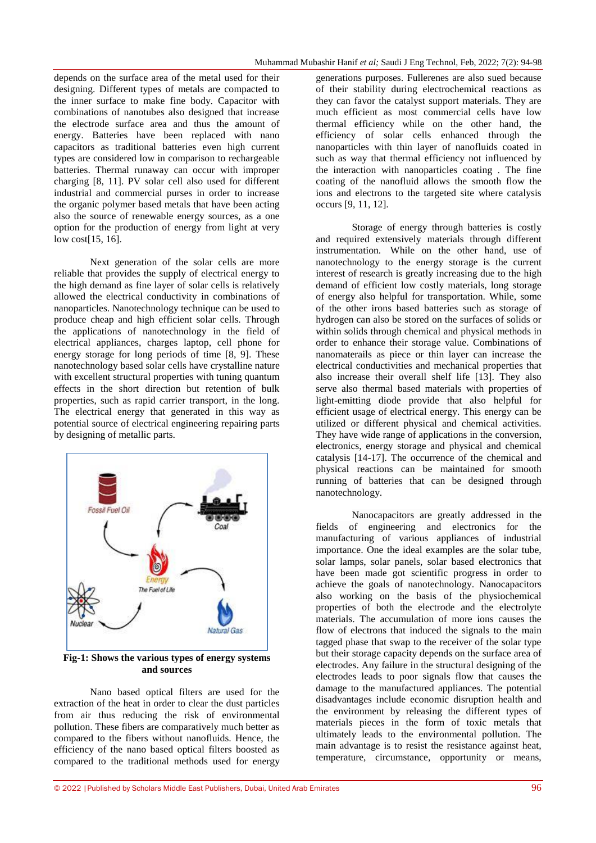depends on the surface area of the metal used for their designing. Different types of metals are compacted to the inner surface to make fine body. Capacitor with combinations of nanotubes also designed that increase the electrode surface area and thus the amount of energy. Batteries have been replaced with nano capacitors as traditional batteries even high current types are considered low in comparison to rechargeable batteries. Thermal runaway can occur with improper charging [8, 11]. PV solar cell also used for different industrial and commercial purses in order to increase the organic polymer based metals that have been acting also the source of renewable energy sources, as a one option for the production of energy from light at very low cost[15, 16].

Next generation of the solar cells are more reliable that provides the supply of electrical energy to the high demand as fine layer of solar cells is relatively allowed the electrical conductivity in combinations of nanoparticles. Nanotechnology technique can be used to produce cheap and high efficient solar cells. Through the applications of nanotechnology in the field of electrical appliances, charges laptop, cell phone for energy storage for long periods of time [8, 9]. These nanotechnology based solar cells have crystalline nature with excellent structural properties with tuning quantum effects in the short direction but retention of bulk properties, such as rapid carrier transport, in the long. The electrical energy that generated in this way as potential source of electrical engineering repairing parts by designing of metallic parts.



**Fig-1: Shows the various types of energy systems and sources**

Nano based optical filters are used for the extraction of the heat in order to clear the dust particles from air thus reducing the risk of environmental pollution. These fibers are comparatively much better as compared to the fibers without nanofluids. Hence, the efficiency of the nano based optical filters boosted as compared to the traditional methods used for energy generations purposes. Fullerenes are also sued because of their stability during electrochemical reactions as they can favor the catalyst support materials. They are much efficient as most commercial cells have low thermal efficiency while on the other hand, the efficiency of solar cells enhanced through the nanoparticles with thin layer of nanofluids coated in such as way that thermal efficiency not influenced by the interaction with nanoparticles coating . The fine coating of the nanofluid allows the smooth flow the ions and electrons to the targeted site where catalysis occurs [9, 11, 12].

Storage of energy through batteries is costly and required extensively materials through different instrumentation. While on the other hand, use of nanotechnology to the energy storage is the current interest of research is greatly increasing due to the high demand of efficient low costly materials, long storage of energy also helpful for transportation. While, some of the other irons based batteries such as storage of hydrogen can also be stored on the surfaces of solids or within solids through chemical and physical methods in order to enhance their storage value. Combinations of nanomaterails as piece or thin layer can increase the electrical conductivities and mechanical properties that also increase their overall shelf life [13]. They also serve also thermal based materials with properties of light-emitting diode provide that also helpful for efficient usage of electrical energy. This energy can be utilized or different physical and chemical activities. They have wide range of applications in the conversion, electronics, energy storage and physical and chemical catalysis [14-17]. The occurrence of the chemical and physical reactions can be maintained for smooth running of batteries that can be designed through nanotechnology.

Nanocapacitors are greatly addressed in the fields of engineering and electronics for the manufacturing of various appliances of industrial importance. One the ideal examples are the solar tube, solar lamps, solar panels, solar based electronics that have been made got scientific progress in order to achieve the goals of nanotechnology. Nanocapacitors also working on the basis of the physiochemical properties of both the electrode and the electrolyte materials. The accumulation of more ions causes the flow of electrons that induced the signals to the main tagged phase that swap to the receiver of the solar type but their storage capacity depends on the surface area of electrodes. Any failure in the structural designing of the electrodes leads to poor signals flow that causes the damage to the manufactured appliances. The potential disadvantages include economic disruption health and the environment by releasing the different types of materials pieces in the form of toxic metals that ultimately leads to the environmental pollution. The main advantage is to resist the resistance against heat, temperature, circumstance, opportunity or means,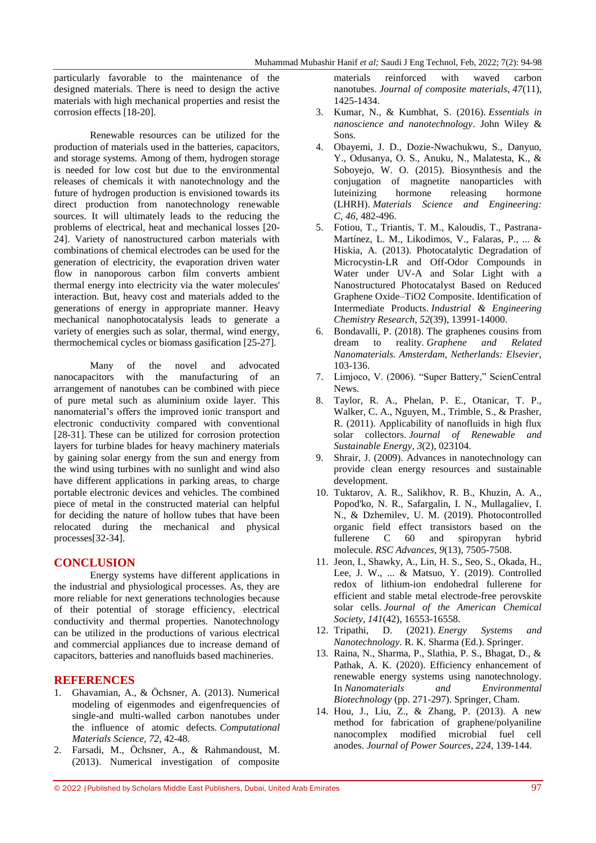particularly favorable to the maintenance of the designed materials. There is need to design the active materials with high mechanical properties and resist the corrosion effects [18-20].

Renewable resources can be utilized for the production of materials used in the batteries, capacitors, and storage systems. Among of them, hydrogen storage is needed for low cost but due to the environmental releases of chemicals it with nanotechnology and the future of hydrogen production is envisioned towards its direct production from nanotechnology renewable sources. It will ultimately leads to the reducing the problems of electrical, heat and mechanical losses [20- 24]. Variety of nanostructured carbon materials with combinations of chemical electrodes can be used for the generation of electricity, the evaporation driven water flow in nanoporous carbon film converts ambient thermal energy into electricity via the water molecules' interaction. But, heavy cost and materials added to the generations of energy in appropriate manner. Heavy mechanical nanophotocatalysis leads to generate a variety of energies such as solar, thermal, wind energy, thermochemical cycles or biomass gasification [25-27].

Many of the novel and advocated nanocapacitors with the manufacturing of an arrangement of nanotubes can be combined with piece of pure metal such as aluminium oxide layer. This nanomaterial's offers the improved ionic transport and electronic conductivity compared with conventional [28-31]. These can be utilized for corrosion protection layers for turbine blades for heavy machinery materials by gaining solar energy from the sun and energy from the wind using turbines with no sunlight and wind also have different applications in parking areas, to charge portable electronic devices and vehicles. The combined piece of metal in the constructed material can helpful for deciding the nature of hollow tubes that have been relocated during the mechanical and physical processes[32-34].

## **CONCLUSION**

Energy systems have different applications in the industrial and physiological processes. As, they are more reliable for next generations technologies because of their potential of storage efficiency, electrical conductivity and thermal properties. Nanotechnology can be utilized in the productions of various electrical and commercial appliances due to increase demand of capacitors, batteries and nanofluids based machineries.

### **REFERENCES**

- 1. Ghavamian, A., & Öchsner, A. (2013). Numerical modeling of eigenmodes and eigenfrequencies of single-and multi-walled carbon nanotubes under the influence of atomic defects. *Computational Materials Science*, *72*, 42-48.
- 2. Farsadi, M., Öchsner, A., & Rahmandoust, M. (2013). Numerical investigation of composite

materials reinforced with waved carbon nanotubes. *Journal of composite materials*, *47*(11), 1425-1434.

- 3. Kumar, N., & Kumbhat, S. (2016). *Essentials in nanoscience and nanotechnology*. John Wiley & Sons.
- 4. Obayemi, J. D., Dozie-Nwachukwu, S., Danyuo, Y., Odusanya, O. S., Anuku, N., Malatesta, K., & Soboyejo, W. O. (2015). Biosynthesis and the conjugation of magnetite nanoparticles with luteinizing hormone releasing hormone (LHRH). *Materials Science and Engineering: C*, *46*, 482-496.
- 5. Fotiou, T., Triantis, T. M., Kaloudis, T., Pastrana-Martínez, L. M., Likodimos, V., Falaras, P., ... & Hiskia, A. (2013). Photocatalytic Degradation of Microcystin-LR and Off-Odor Compounds in Water under UV-A and Solar Light with a Nanostructured Photocatalyst Based on Reduced Graphene Oxide–TiO2 Composite. Identification of Intermediate Products. *Industrial & Engineering Chemistry Research*, *52*(39), 13991-14000.
- 6. Bondavalli, P. (2018). The graphenes cousins from dream to reality. *Graphene and Related Nanomaterials. Amsterdam, Netherlands: Elsevier*, 103-136.
- 7. Limjoco, V. (2006). "Super Battery," ScienCentral News.
- 8. Taylor, R. A., Phelan, P. E., Otanicar, T. P., Walker, C. A., Nguyen, M., Trimble, S., & Prasher, R. (2011). Applicability of nanofluids in high flux solar collectors. *Journal of Renewable and Sustainable Energy*, *3*(2), 023104.
- 9. Shrair, J. (2009). Advances in nanotechnology can provide clean energy resources and sustainable development.
- 10. Tuktarov, A. R., Salikhov, R. B., Khuzin, A. A., Popod'ko, N. R., Safargalin, I. N., Mullagaliev, I. N., & Dzhemilev, U. M. (2019). Photocontrolled organic field effect transistors based on the fullerene C 60 and spiropyran hybrid molecule. *RSC Advances*, *9*(13), 7505-7508.
- 11. Jeon, I., Shawky, A., Lin, H. S., Seo, S., Okada, H., Lee, J. W., ... & Matsuo, Y. (2019). Controlled redox of lithium-ion endohedral fullerene for efficient and stable metal electrode-free perovskite solar cells. *Journal of the American Chemical Society*, *141*(42), 16553-16558.
- 12. Tripathi, D. (2021). *Energy Systems and Nanotechnology*. R. K. Sharma (Ed.). Springer.
- 13. Raina, N., Sharma, P., Slathia, P. S., Bhagat, D., & Pathak, A. K. (2020). Efficiency enhancement of renewable energy systems using nanotechnology. In *Nanomaterials and Environmental Biotechnology* (pp. 271-297). Springer, Cham.
- 14. Hou, J., Liu, Z., & Zhang, P. (2013). A new method for fabrication of graphene/polyaniline nanocomplex modified microbial fuel cell anodes. *Journal of Power Sources*, *224*, 139-144.